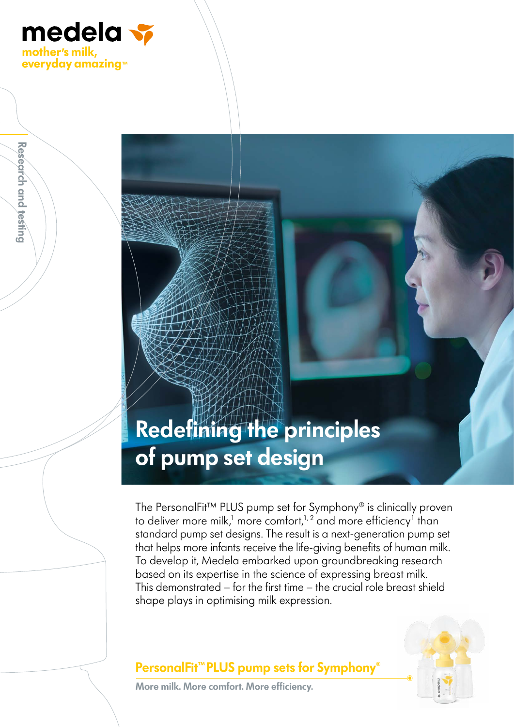

**Research and testing**

Research and testing

## **Redefining the principles of pump set design**

The PersonalFit™ PLUS pump set for Symphony® is clinically proven to deliver more milk, $^1$  more comfort, $^{1,2}$  and more efficiency $^1$  than standard pump set designs. The result is a next-generation pump set that helps more infants receive the life-giving benefits of human milk. To develop it, Medela embarked upon groundbreaking research based on its expertise in the science of expressing breast milk. This demonstrated – for the first time – the crucial role breast shield shape plays in optimising milk expression.

#### **PersonalFit™PLUS pump sets for Symphony**®



**More milk. More comfort. More efficiency.**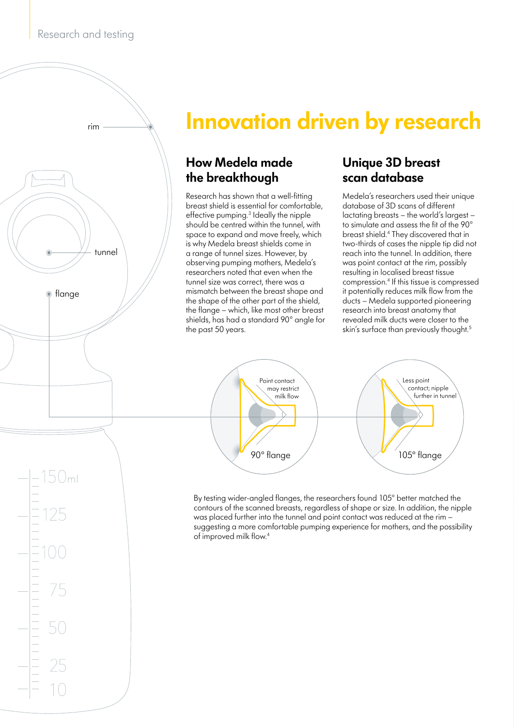

## **Innovation driven by research**

#### **How Medela made the breakthough**

Research has shown that a well-fitting breast shield is essential for comfortable, effective pumping.<sup>3</sup> Ideally the nipple should be centred within the tunnel, with space to expand and move freely, which is why Medela breast shields come in a range of tunnel sizes. However, by observing pumping mothers, Medela's researchers noted that even when the tunnel size was correct, there was a mismatch between the breast shape and the shape of the other part of the shield, the flange – which, like most other breast shields, has had a standard 90° angle for the past 50 years.

#### **Unique 3D breast scan database**

Medela's researchers used their unique database of 3D scans of different lactating breasts – the world's largest – to simulate and assess the fit of the 90° breast shield.4 They discovered that in two-thirds of cases the nipple tip did not reach into the tunnel. In addition, there was point contact at the rim, possibly resulting in localised breast tissue compression.4 If this tissue is compressed it potentially reduces milk flow from the ducts – Medela supported pioneering research into breast anatomy that revealed milk ducts were closer to the skin's surface than previously thought.<sup>5</sup>



By testing wider-angled flanges, the researchers found 105° better matched the contours of the scanned breasts, regardless of shape or size. In addition, the nipple was placed further into the tunnel and point contact was reduced at the rim – suggesting a more comfortable pumping experience for mothers, and the possibility of improved milk flow.4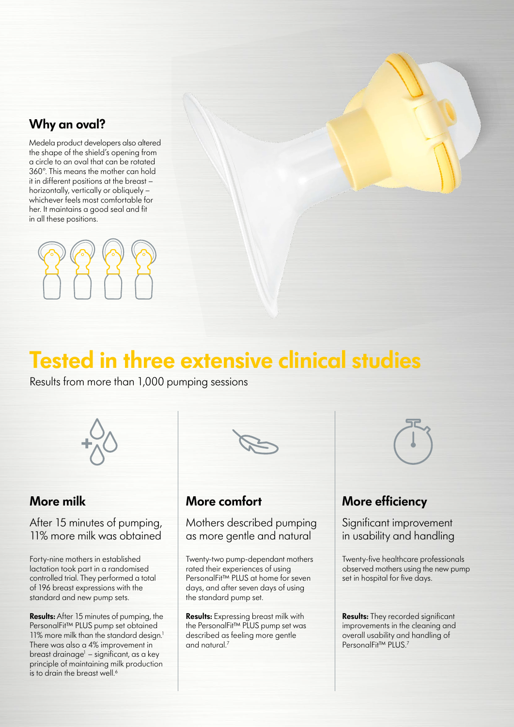#### **Why an oval?**

Medela product developers also altered the shape of the shield's opening from a circle to an oval that can be rotated 360°. This means the mother can hold it in different positions at the breast – horizontally, vertically or obliquely – whichever feels most comfortable for her. It maintains a good seal and fit in all these positions.



# **Tested in three extensive clinical studies**

Results from more than 1,000 pumping sessions



#### **More milk**

After 15 minutes of pumping, 11% more milk was obtained

Forty-nine mothers in established lactation took part in a randomised controlled trial. They performed a total of 196 breast expressions with the standard and new pump sets.

**Results:** After 15 minutes of pumping, the PersonalFit™ PLUS pump set obtained 11% more milk than the standard design.<sup>1</sup> There was also a 4% improvement in breast drainage<sup>1</sup> – significant, as a key principle of maintaining milk production is to drain the breast well.<sup>6</sup>



#### **More comfort**

Mothers described pumping as more gentle and natural

Twenty-two pump-dependant mothers rated their experiences of using PersonalFit™ PLUS at home for seven days, and after seven days of using the standard pump set.

**Results:** Expressing breast milk with the PersonalFit™ PLUS pump set was described as feeling more gentle and natural.7

### **More efficiency**

Significant improvement in usability and handling

Twenty-five healthcare professionals observed mothers using the new pump set in hospital for five days.

**Results:** They recorded significant improvements in the cleaning and overall usability and handling of PersonalFit™ PLUS.<sup>7</sup>